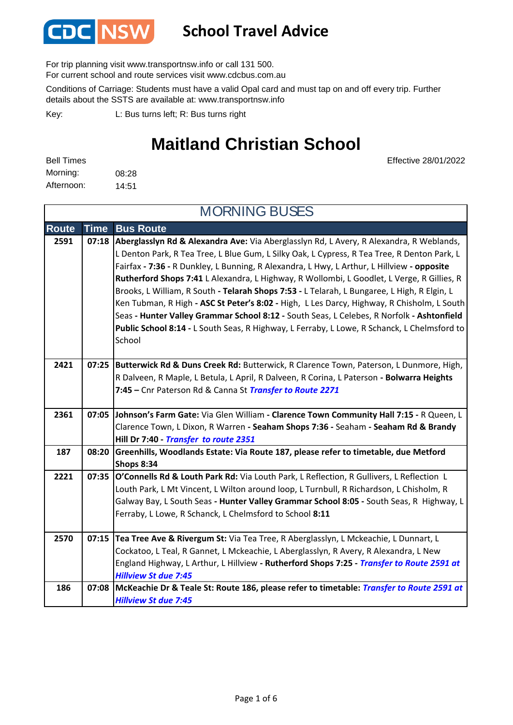

#### **School Travel Advice**

For trip planning visit www.transportnsw.info or call 131 500.

For current school and route services visit www.cdcbus.com.au

Conditions of Carriage: Students must have a valid Opal card and must tap on and off every trip. Further details about the SSTS are available at: www.transportnsw.info

L: Bus turns left; R: Bus turns right Key:

#### **Maitland Christian School**

Effective 28/01/2022

| <b>Bell Times</b> |       |
|-------------------|-------|
| Morning:          | 08:28 |
| Afternoon:        | 14:51 |

**Route Time Bus Route 2591 07:18 Aberglasslyn Rd & Alexandra Ave:** Via Aberglasslyn Rd, L Avery, R Alexandra, R Weblands, L Denton Park, R Tea Tree, L Blue Gum, L Silky Oak, L Cypress, R Tea Tree, R Denton Park, L Fairfax **- 7:36 -** R Dunkley, L Bunning, R Alexandra, L Hwy, L Arthur, L Hillview **- opposite Rutherford Shops 7:41** L Alexandra, L Highway, R Wollombi, L Goodlet, L Verge, R Gillies, R Brooks, L William, R South **- Telarah Shops 7:53 -** L Telarah, L Bungaree, L High, R Elgin, L Ken Tubman, R High **- ASC St Peter's 8:02 -** High, L Les Darcy, Highway, R Chisholm, L South Seas **- Hunter Valley Grammar School 8:12 -** South Seas, L Celebes, R Norfolk **- Ashtonfield Public School 8:14 -** L South Seas, R Highway, L Ferraby, L Lowe, R Schanck, L Chelmsford to School **2421 07:25 Butterwick Rd & Duns Creek Rd:** Butterwick, R Clarence Town, Paterson, L Dunmore, High, R Dalveen, R Maple, L Betula, L April, R Dalveen, R Corina, L Paterson **- Bolwarra Heights 7:45 –** Cnr Paterson Rd & Canna St *Transfer to Route 2271* **2361 07:05 Johnson's Farm Gate:** Via Glen William **- Clarence Town Community Hall 7:15 -** R Queen, L Clarence Town, L Dixon, R Warren **- Seaham Shops 7:36 -** Seaham **- Seaham Rd & Brandy Hill Dr 7:40 -** *Transfer to route 2351*  **187 08:20 Greenhills, Woodlands Estate: Via Route 187, please refer to timetable, due Metford Shops 8:34 2221 07:35 O'Connells Rd & Louth Park Rd:** Via Louth Park, L Reflection, R Gullivers, L Reflection L Louth Park, L Mt Vincent, L Wilton around loop, L Turnbull, R Richardson, L Chisholm, R Galway Bay, L South Seas **- Hunter Valley Grammar School 8:05 -** South Seas, R Highway, L Ferraby, L Lowe, R Schanck, L Chelmsford to School **8:11 2570 07:15 Tea Tree Ave & Rivergum St:** Via Tea Tree, R Aberglasslyn, L Mckeachie, L Dunnart, L Cockatoo, L Teal, R Gannet, L Mckeachie, L Aberglasslyn, R Avery, R Alexandra, L New England Highway, L Arthur, L Hillview **- Rutherford Shops 7:25 -** *Transfer to Route 2591 at Hillview St due 7:45* **186 07:08 McKeachie Dr & Teale St: Route 186, please refer to timetable:** *Transfer to Route 2591 at Hillview St due 7:45* MORNING BUSES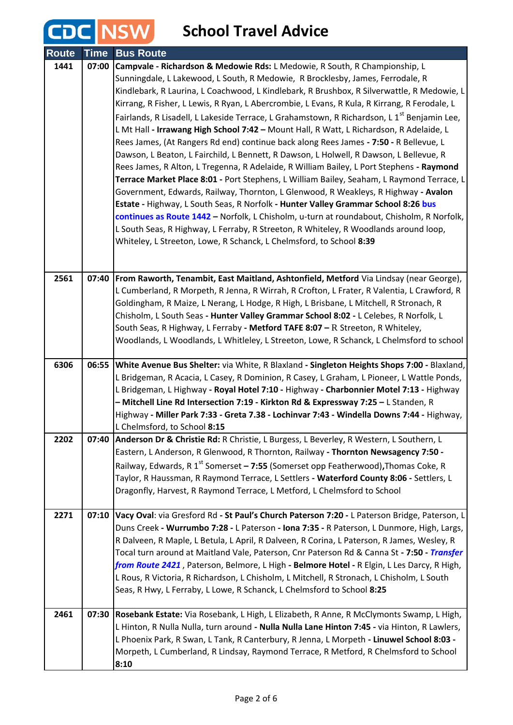# **CDC** NSW School Travel Advice

| <b>Route</b> | <b>Time</b> | <b>Bus Route</b>                                                                                                                                                                                                                                                                                                                                                                                                                                                                                                                                                                                                                                                                                                                                                                                                                                                                                                                                                                                                                                                                                                                                                                                                                                                                                                                                                                    |
|--------------|-------------|-------------------------------------------------------------------------------------------------------------------------------------------------------------------------------------------------------------------------------------------------------------------------------------------------------------------------------------------------------------------------------------------------------------------------------------------------------------------------------------------------------------------------------------------------------------------------------------------------------------------------------------------------------------------------------------------------------------------------------------------------------------------------------------------------------------------------------------------------------------------------------------------------------------------------------------------------------------------------------------------------------------------------------------------------------------------------------------------------------------------------------------------------------------------------------------------------------------------------------------------------------------------------------------------------------------------------------------------------------------------------------------|
| 1441         | 07:00       | Campvale - Richardson & Medowie Rds: L Medowie, R South, R Championship, L<br>Sunningdale, L Lakewood, L South, R Medowie, R Brocklesby, James, Ferrodale, R<br>Kindlebark, R Laurina, L Coachwood, L Kindlebark, R Brushbox, R Silverwattle, R Medowie, L<br>Kirrang, R Fisher, L Lewis, R Ryan, L Abercrombie, L Evans, R Kula, R Kirrang, R Ferodale, L<br>Fairlands, R Lisadell, L Lakeside Terrace, L Grahamstown, R Richardson, L 1 <sup>st</sup> Benjamin Lee,<br>L Mt Hall - Irrawang High School 7:42 - Mount Hall, R Watt, L Richardson, R Adelaide, L<br>Rees James, (At Rangers Rd end) continue back along Rees James - 7:50 - R Bellevue, L<br>Dawson, L Beaton, L Fairchild, L Bennett, R Dawson, L Holwell, R Dawson, L Bellevue, R<br>Rees James, R Alton, L Tregenna, R Adelaide, R William Bailey, L Port Stephens - Raymond<br>Terrace Market Place 8:01 - Port Stephens, L William Bailey, Seaham, L Raymond Terrace, L<br>Government, Edwards, Railway, Thornton, L Glenwood, R Weakleys, R Highway - Avalon<br>Estate - Highway, L South Seas, R Norfolk - Hunter Valley Grammar School 8:26 bus<br>continues as Route 1442 - Norfolk, L Chisholm, u-turn at roundabout, Chisholm, R Norfolk,<br>L South Seas, R Highway, L Ferraby, R Streeton, R Whiteley, R Woodlands around loop,<br>Whiteley, L Streeton, Lowe, R Schanck, L Chelmsford, to School 8:39 |
| 2561         |             | 07:40   From Raworth, Tenambit, East Maitland, Ashtonfield, Metford Via Lindsay (near George),                                                                                                                                                                                                                                                                                                                                                                                                                                                                                                                                                                                                                                                                                                                                                                                                                                                                                                                                                                                                                                                                                                                                                                                                                                                                                      |
|              |             | L Cumberland, R Morpeth, R Jenna, R Wirrah, R Crofton, L Frater, R Valentia, L Crawford, R<br>Goldingham, R Maize, L Nerang, L Hodge, R High, L Brisbane, L Mitchell, R Stronach, R                                                                                                                                                                                                                                                                                                                                                                                                                                                                                                                                                                                                                                                                                                                                                                                                                                                                                                                                                                                                                                                                                                                                                                                                 |
|              |             | Chisholm, L South Seas - Hunter Valley Grammar School 8:02 - L Celebes, R Norfolk, L                                                                                                                                                                                                                                                                                                                                                                                                                                                                                                                                                                                                                                                                                                                                                                                                                                                                                                                                                                                                                                                                                                                                                                                                                                                                                                |
|              |             | South Seas, R Highway, L Ferraby - Metford TAFE 8:07 - R Streeton, R Whiteley,                                                                                                                                                                                                                                                                                                                                                                                                                                                                                                                                                                                                                                                                                                                                                                                                                                                                                                                                                                                                                                                                                                                                                                                                                                                                                                      |
|              |             | Woodlands, L Woodlands, L Whitleley, L Streeton, Lowe, R Schanck, L Chelmsford to school                                                                                                                                                                                                                                                                                                                                                                                                                                                                                                                                                                                                                                                                                                                                                                                                                                                                                                                                                                                                                                                                                                                                                                                                                                                                                            |
| 6306         | 06:55       | White Avenue Bus Shelter: via White, R Blaxland - Singleton Heights Shops 7:00 - Blaxland,<br>L Bridgeman, R Acacia, L Casey, R Dominion, R Casey, L Graham, L Pioneer, L Wattle Ponds,<br>L Bridgeman, L Highway - Royal Hotel 7:10 - Highway - Charbonnier Motel 7:13 - Highway<br>- Mitchell Line Rd Intersection 7:19 - Kirkton Rd & Expressway 7:25 - L Standen, R<br>Highway - Miller Park 7:33 - Greta 7.38 - Lochinvar 7:43 - Windella Downs 7:44 - Highway,<br>L Chelmsford, to School 8:15                                                                                                                                                                                                                                                                                                                                                                                                                                                                                                                                                                                                                                                                                                                                                                                                                                                                                |
| 2202         |             | 07:40 Anderson Dr & Christie Rd: R Christie, L Burgess, L Beverley, R Western, L Southern, L<br>Eastern, L Anderson, R Glenwood, R Thornton, Railway - Thornton Newsagency 7:50 -                                                                                                                                                                                                                                                                                                                                                                                                                                                                                                                                                                                                                                                                                                                                                                                                                                                                                                                                                                                                                                                                                                                                                                                                   |
|              |             | Railway, Edwards, R $1^{st}$ Somerset – 7:55 (Somerset opp Featherwood), Thomas Coke, R<br>Taylor, R Haussman, R Raymond Terrace, L Settlers - Waterford County 8:06 - Settlers, L<br>Dragonfly, Harvest, R Raymond Terrace, L Metford, L Chelmsford to School                                                                                                                                                                                                                                                                                                                                                                                                                                                                                                                                                                                                                                                                                                                                                                                                                                                                                                                                                                                                                                                                                                                      |
| 2271         |             | 07:10 Vacy Oval: via Gresford Rd - St Paul's Church Paterson 7:20 - L Paterson Bridge, Paterson, L<br>Duns Creek - Wurrumbo 7:28 - L Paterson - Iona 7:35 - R Paterson, L Dunmore, High, Largs,<br>R Dalveen, R Maple, L Betula, L April, R Dalveen, R Corina, L Paterson, R James, Wesley, R<br>Tocal turn around at Maitland Vale, Paterson, Cnr Paterson Rd & Canna St - 7:50 - Transfer<br>from Route 2421, Paterson, Belmore, L High - Belmore Hotel - R Elgin, L Les Darcy, R High,<br>L Rous, R Victoria, R Richardson, L Chisholm, L Mitchell, R Stronach, L Chisholm, L South<br>Seas, R Hwy, L Ferraby, L Lowe, R Schanck, L Chelmsford to School 8:25                                                                                                                                                                                                                                                                                                                                                                                                                                                                                                                                                                                                                                                                                                                    |
| 2461         |             | 07:30 Rosebank Estate: Via Rosebank, L High, L Elizabeth, R Anne, R McClymonts Swamp, L High,<br>L Hinton, R Nulla Nulla, turn around - Nulla Nulla Lane Hinton 7:45 - via Hinton, R Lawlers,                                                                                                                                                                                                                                                                                                                                                                                                                                                                                                                                                                                                                                                                                                                                                                                                                                                                                                                                                                                                                                                                                                                                                                                       |
|              |             | L Phoenix Park, R Swan, L Tank, R Canterbury, R Jenna, L Morpeth - Linuwel School 8:03 -                                                                                                                                                                                                                                                                                                                                                                                                                                                                                                                                                                                                                                                                                                                                                                                                                                                                                                                                                                                                                                                                                                                                                                                                                                                                                            |
|              |             | Morpeth, L Cumberland, R Lindsay, Raymond Terrace, R Metford, R Chelmsford to School<br>8:10                                                                                                                                                                                                                                                                                                                                                                                                                                                                                                                                                                                                                                                                                                                                                                                                                                                                                                                                                                                                                                                                                                                                                                                                                                                                                        |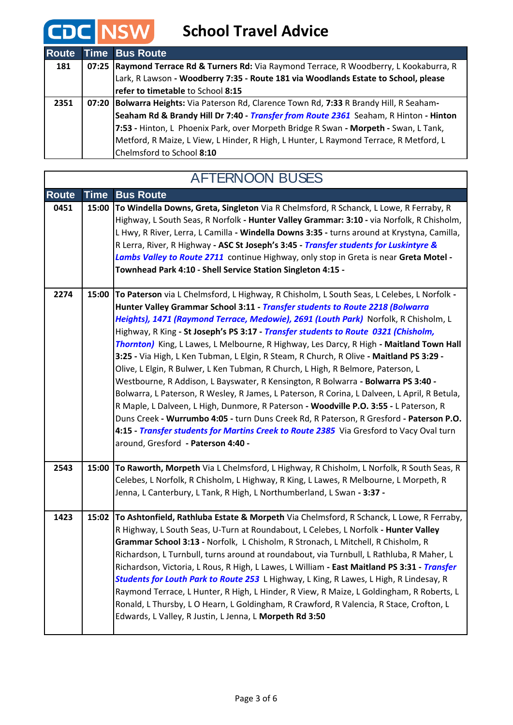# **CDC** NSW School Travel Advice

| <b>Route</b> | <b>Time Bus Route</b>                                                                    |
|--------------|------------------------------------------------------------------------------------------|
| 181          | 07:25 Raymond Terrace Rd & Turners Rd: Via Raymond Terrace, R Woodberry, L Kookaburra, R |
|              | Lark, R Lawson - Woodberry 7:35 - Route 181 via Woodlands Estate to School, please       |
|              | refer to timetable to School 8:15                                                        |
| 2351         | 07:20 Bolwarra Heights: Via Paterson Rd, Clarence Town Rd, 7:33 R Brandy Hill, R Seaham- |
|              | Seaham Rd & Brandy Hill Dr 7:40 - Transfer from Route 2361 Seaham, R Hinton - Hinton     |
|              | 7:53 - Hinton, L Phoenix Park, over Morpeth Bridge R Swan - Morpeth - Swan, L Tank,      |
|              | Metford, R Maize, L View, L Hinder, R High, L Hunter, L Raymond Terrace, R Metford, L    |
|              | Chelmsford to School 8:10                                                                |

| <b>AFTERNOON BUSES</b> |       |                                                                                                                                                                                                                                                                                                                                                                                                                                                                                                                                                                                                                                                                                                                                                                                                                                                                                                                                                                                                                                                                                                                                                   |
|------------------------|-------|---------------------------------------------------------------------------------------------------------------------------------------------------------------------------------------------------------------------------------------------------------------------------------------------------------------------------------------------------------------------------------------------------------------------------------------------------------------------------------------------------------------------------------------------------------------------------------------------------------------------------------------------------------------------------------------------------------------------------------------------------------------------------------------------------------------------------------------------------------------------------------------------------------------------------------------------------------------------------------------------------------------------------------------------------------------------------------------------------------------------------------------------------|
| <b>Route</b>           | Time  | <b>Bus Route</b>                                                                                                                                                                                                                                                                                                                                                                                                                                                                                                                                                                                                                                                                                                                                                                                                                                                                                                                                                                                                                                                                                                                                  |
| 0451                   | 15:00 | To Windella Downs, Greta, Singleton Via R Chelmsford, R Schanck, L Lowe, R Ferraby, R<br>Highway, L South Seas, R Norfolk - Hunter Valley Grammar: 3:10 - via Norfolk, R Chisholm,<br>L Hwy, R River, Lerra, L Camilla - Windella Downs 3:35 - turns around at Krystyna, Camilla,<br>R Lerra, River, R Highway - ASC St Joseph's 3:45 - Transfer students for Luskintyre &<br>Lambs Valley to Route 2711 continue Highway, only stop in Greta is near Greta Motel -<br>Townhead Park 4:10 - Shell Service Station Singleton 4:15 -                                                                                                                                                                                                                                                                                                                                                                                                                                                                                                                                                                                                                |
| 2274                   |       | 15:00 To Paterson via L Chelmsford, L Highway, R Chisholm, L South Seas, L Celebes, L Norfolk -<br>Hunter Valley Grammar School 3:11 - Transfer students to Route 2218 (Bolwarra<br>Heights), 1471 (Raymond Terrace, Medowie), 2691 (Louth Park) Norfolk, R Chisholm, L<br>Highway, R King - St Joseph's PS 3:17 - Transfer students to Route 0321 (Chisholm,<br>Thornton) King, L Lawes, L Melbourne, R Highway, Les Darcy, R High - Maitland Town Hall<br>3:25 - Via High, L Ken Tubman, L Elgin, R Steam, R Church, R Olive - Maitland PS 3:29 -<br>Olive, L Elgin, R Bulwer, L Ken Tubman, R Church, L High, R Belmore, Paterson, L<br>Westbourne, R Addison, L Bayswater, R Kensington, R Bolwarra - Bolwarra PS 3:40 -<br>Bolwarra, L Paterson, R Wesley, R James, L Paterson, R Corina, L Dalveen, L April, R Betula,<br>R Maple, L Dalveen, L High, Dunmore, R Paterson - Woodville P.O. 3:55 - L Paterson, R<br>Duns Creek - Wurrumbo 4:05 - turn Duns Creek Rd, R Paterson, R Gresford - Paterson P.O.<br>4:15 - Transfer students for Martins Creek to Route 2385 Via Gresford to Vacy Oval turn<br>around, Gresford - Paterson 4:40 - |
| 2543                   |       | 15:00 To Raworth, Morpeth Via L Chelmsford, L Highway, R Chisholm, L Norfolk, R South Seas, R<br>Celebes, L Norfolk, R Chisholm, L Highway, R King, L Lawes, R Melbourne, L Morpeth, R<br>Jenna, L Canterbury, L Tank, R High, L Northumberland, L Swan - 3:37 -                                                                                                                                                                                                                                                                                                                                                                                                                                                                                                                                                                                                                                                                                                                                                                                                                                                                                  |
| 1423                   |       | 15:02 To Ashtonfield, Rathluba Estate & Morpeth Via Chelmsford, R Schanck, L Lowe, R Ferraby,<br>R Highway, L South Seas, U-Turn at Roundabout, L Celebes, L Norfolk - Hunter Valley<br>Grammar School 3:13 - Norfolk, L Chisholm, R Stronach, L Mitchell, R Chisholm, R<br>Richardson, L Turnbull, turns around at roundabout, via Turnbull, L Rathluba, R Maher, L<br>Richardson, Victoria, L Rous, R High, L Lawes, L William - East Maitland PS 3:31 - Transfer<br>Students for Louth Park to Route 253 L Highway, L King, R Lawes, L High, R Lindesay, R<br>Raymond Terrace, L Hunter, R High, L Hinder, R View, R Maize, L Goldingham, R Roberts, L<br>Ronald, L Thursby, L O Hearn, L Goldingham, R Crawford, R Valencia, R Stace, Crofton, L<br>Edwards, L Valley, R Justin, L Jenna, L Morpeth Rd 3:50                                                                                                                                                                                                                                                                                                                                   |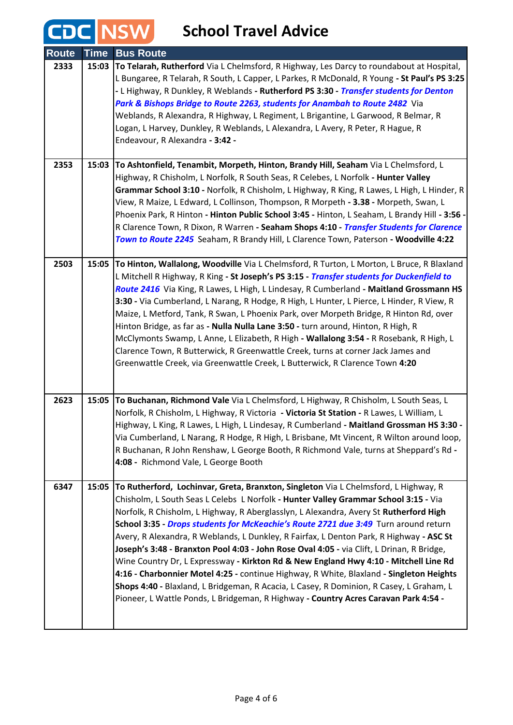#### **School Travel Advice**

CDC NSW

| <b>Route</b> | <b>Time</b> | <b>Bus Route</b>                                                                                                                                                                                                                                                                                                                                                                                                                                                                                                                                                                                                                                                                                                                                                                                                                                                                                                        |
|--------------|-------------|-------------------------------------------------------------------------------------------------------------------------------------------------------------------------------------------------------------------------------------------------------------------------------------------------------------------------------------------------------------------------------------------------------------------------------------------------------------------------------------------------------------------------------------------------------------------------------------------------------------------------------------------------------------------------------------------------------------------------------------------------------------------------------------------------------------------------------------------------------------------------------------------------------------------------|
| 2333         |             | 15:03 To Telarah, Rutherford Via L Chelmsford, R Highway, Les Darcy to roundabout at Hospital,<br>L Bungaree, R Telarah, R South, L Capper, L Parkes, R McDonald, R Young - St Paul's PS 3:25<br>- L Highway, R Dunkley, R Weblands - Rutherford PS 3:30 - Transfer students for Denton<br>Park & Bishops Bridge to Route 2263, students for Anambah to Route 2482 Via<br>Weblands, R Alexandra, R Highway, L Regiment, L Brigantine, L Garwood, R Belmar, R<br>Logan, L Harvey, Dunkley, R Weblands, L Alexandra, L Avery, R Peter, R Hague, R<br>Endeavour, R Alexandra - 3:42 -                                                                                                                                                                                                                                                                                                                                      |
| 2353         | 15:03       | To Ashtonfield, Tenambit, Morpeth, Hinton, Brandy Hill, Seaham Via L Chelmsford, L<br>Highway, R Chisholm, L Norfolk, R South Seas, R Celebes, L Norfolk - Hunter Valley<br>Grammar School 3:10 - Norfolk, R Chisholm, L Highway, R King, R Lawes, L High, L Hinder, R<br>View, R Maize, L Edward, L Collinson, Thompson, R Morpeth - 3.38 - Morpeth, Swan, L<br>Phoenix Park, R Hinton - Hinton Public School 3:45 - Hinton, L Seaham, L Brandy Hill - 3:56 -<br>R Clarence Town, R Dixon, R Warren - Seaham Shops 4:10 - Transfer Students for Clarence<br>Town to Route 2245 Seaham, R Brandy Hill, L Clarence Town, Paterson - Woodville 4:22                                                                                                                                                                                                                                                                       |
| 2503         |             | 15:05 To Hinton, Wallalong, Woodville Via L Chelmsford, R Turton, L Morton, L Bruce, R Blaxland<br>L Mitchell R Highway, R King - St Joseph's PS 3:15 - Transfer students for Duckenfield to<br>Route 2416 Via King, R Lawes, L High, L Lindesay, R Cumberland - Maitland Grossmann HS<br>3:30 - Via Cumberland, L Narang, R Hodge, R High, L Hunter, L Pierce, L Hinder, R View, R<br>Maize, L Metford, Tank, R Swan, L Phoenix Park, over Morpeth Bridge, R Hinton Rd, over<br>Hinton Bridge, as far as - Nulla Nulla Lane 3:50 - turn around, Hinton, R High, R<br>McClymonts Swamp, L Anne, L Elizabeth, R High - Wallalong 3:54 - R Rosebank, R High, L<br>Clarence Town, R Butterwick, R Greenwattle Creek, turns at corner Jack James and<br>Greenwattle Creek, via Greenwattle Creek, L Butterwick, R Clarence Town 4:20                                                                                        |
| 2623         | 15:05       | To Buchanan, Richmond Vale Via L Chelmsford, L Highway, R Chisholm, L South Seas, L<br>Norfolk, R Chisholm, L Highway, R Victoria - Victoria St Station - R Lawes, L William, L<br>Highway, L King, R Lawes, L High, L Lindesay, R Cumberland - Maitland Grossman HS 3:30 -<br>Via Cumberland, L Narang, R Hodge, R High, L Brisbane, Mt Vincent, R Wilton around loop,<br>R Buchanan, R John Renshaw, L George Booth, R Richmond Vale, turns at Sheppard's Rd -<br>4:08 - Richmond Vale, L George Booth                                                                                                                                                                                                                                                                                                                                                                                                                |
| 6347         | 15:05       | To Rutherford, Lochinvar, Greta, Branxton, Singleton Via L Chelmsford, L Highway, R<br>Chisholm, L South Seas L Celebs L Norfolk - Hunter Valley Grammar School 3:15 - Via<br>Norfolk, R Chisholm, L Highway, R Aberglasslyn, L Alexandra, Avery St Rutherford High<br>School 3:35 - Drops students for McKeachie's Route 2721 due 3:49 Turn around return<br>Avery, R Alexandra, R Weblands, L Dunkley, R Fairfax, L Denton Park, R Highway - ASC St<br>Joseph's 3:48 - Branxton Pool 4:03 - John Rose Oval 4:05 - via Clift, L Drinan, R Bridge,<br>Wine Country Dr, L Expressway - Kirkton Rd & New England Hwy 4:10 - Mitchell Line Rd<br>4:16 - Charbonnier Motel 4:25 - continue Highway, R White, Blaxland - Singleton Heights<br>Shops 4:40 - Blaxland, L Bridgeman, R Acacia, L Casey, R Dominion, R Casey, L Graham, L<br>Pioneer, L Wattle Ponds, L Bridgeman, R Highway - Country Acres Caravan Park 4:54 - |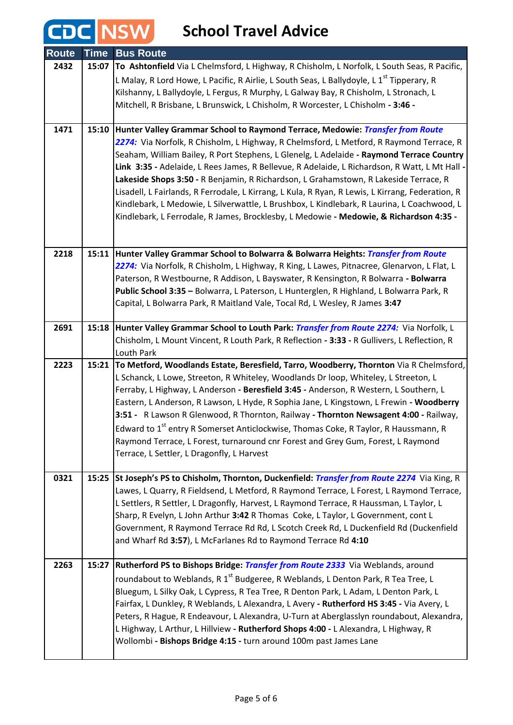### CDC NSW

#### **School Travel Advice**

| <b>Route</b> | <b>Time</b> | <b>Bus Route</b>                                                                                                                                                                    |
|--------------|-------------|-------------------------------------------------------------------------------------------------------------------------------------------------------------------------------------|
| 2432         |             | 15:07 To Ashtonfield Via L Chelmsford, L Highway, R Chisholm, L Norfolk, L South Seas, R Pacific,                                                                                   |
|              |             | L Malay, R Lord Howe, L Pacific, R Airlie, L South Seas, L Ballydoyle, L 1 <sup>st</sup> Tipperary, R                                                                               |
|              |             | Kilshanny, L Ballydoyle, L Fergus, R Murphy, L Galway Bay, R Chisholm, L Stronach, L                                                                                                |
|              |             | Mitchell, R Brisbane, L Brunswick, L Chisholm, R Worcester, L Chisholm - 3:46 -                                                                                                     |
|              |             |                                                                                                                                                                                     |
| 1471         |             | 15:10 Hunter Valley Grammar School to Raymond Terrace, Medowie: <i>Transfer from Route</i>                                                                                          |
|              |             | 2274: Via Norfolk, R Chisholm, L Highway, R Chelmsford, L Metford, R Raymond Terrace, R<br>Seaham, William Bailey, R Port Stephens, L Glenelg, L Adelaide - Raymond Terrace Country |
|              |             | Link 3:35 - Adelaide, L Rees James, R Bellevue, R Adelaide, L Richardson, R Watt, L Mt Hall -                                                                                       |
|              |             | Lakeside Shops 3:50 - R Benjamin, R Richardson, L Grahamstown, R Lakeside Terrace, R                                                                                                |
|              |             | Lisadell, L Fairlands, R Ferrodale, L Kirrang, L Kula, R Ryan, R Lewis, L Kirrang, Federation, R                                                                                    |
|              |             | Kindlebark, L Medowie, L Silverwattle, L Brushbox, L Kindlebark, R Laurina, L Coachwood, L                                                                                          |
|              |             | Kindlebark, L Ferrodale, R James, Brocklesby, L Medowie - Medowie, & Richardson 4:35 -                                                                                              |
|              |             |                                                                                                                                                                                     |
| 2218         |             | 15:11 Hunter Valley Grammar School to Bolwarra & Bolwarra Heights: <i>Transfer from Route</i>                                                                                       |
|              |             | 2274: Via Norfolk, R Chisholm, L Highway, R King, L Lawes, Pitnacree, Glenarvon, L Flat, L                                                                                          |
|              |             | Paterson, R Westbourne, R Addison, L Bayswater, R Kensington, R Bolwarra - Bolwarra                                                                                                 |
|              |             | Public School 3:35 - Bolwarra, L Paterson, L Hunterglen, R Highland, L Bolwarra Park, R                                                                                             |
|              |             | Capital, L Bolwarra Park, R Maitland Vale, Tocal Rd, L Wesley, R James 3:47                                                                                                         |
|              |             |                                                                                                                                                                                     |
| 2691         |             | 15:18 Hunter Valley Grammar School to Louth Park: Transfer from Route 2274: Via Norfolk, L                                                                                          |
|              |             | Chisholm, L Mount Vincent, R Louth Park, R Reflection - 3:33 - R Gullivers, L Reflection, R<br>Louth Park                                                                           |
| 2223         | 15:21       | To Metford, Woodlands Estate, Beresfield, Tarro, Woodberry, Thornton Via R Chelmsford,                                                                                              |
|              |             | L Schanck, L Lowe, Streeton, R Whiteley, Woodlands Dr loop, Whiteley, L Streeton, L                                                                                                 |
|              |             | Ferraby, L Highway, L Anderson - Beresfield 3:45 - Anderson, R Western, L Southern, L                                                                                               |
|              |             | Eastern, L Anderson, R Lawson, L Hyde, R Sophia Jane, L Kingstown, L Frewin - Woodberry                                                                                             |
|              |             | 3:51 - R Lawson R Glenwood, R Thornton, Railway - Thornton Newsagent 4:00 - Railway,                                                                                                |
|              |             | Edward to 1 <sup>st</sup> entry R Somerset Anticlockwise, Thomas Coke, R Taylor, R Haussmann, R                                                                                     |
|              |             | Raymond Terrace, L Forest, turnaround cnr Forest and Grey Gum, Forest, L Raymond                                                                                                    |
|              |             | Terrace, L Settler, L Dragonfly, L Harvest                                                                                                                                          |
| 0321         |             | 15:25 St Joseph's PS to Chisholm, Thornton, Duckenfield: Transfer from Route 2274 Via King, R                                                                                       |
|              |             | Lawes, L Quarry, R Fieldsend, L Metford, R Raymond Terrace, L Forest, L Raymond Terrace,                                                                                            |
|              |             | L Settlers, R Settler, L Dragonfly, Harvest, L Raymond Terrace, R Haussman, L Taylor, L                                                                                             |
|              |             | Sharp, R Evelyn, L John Arthur 3:42 R Thomas Coke, L Taylor, L Government, cont L                                                                                                   |
|              |             | Government, R Raymond Terrace Rd Rd, L Scotch Creek Rd, L Duckenfield Rd (Duckenfield                                                                                               |
|              |             | and Wharf Rd 3:57), L McFarlanes Rd to Raymond Terrace Rd 4:10                                                                                                                      |
| 2263         | 15:27       | Rutherford PS to Bishops Bridge: Transfer from Route 2333 Via Weblands, around                                                                                                      |
|              |             | roundabout to Weblands, R 1 <sup>st</sup> Budgeree, R Weblands, L Denton Park, R Tea Tree, L                                                                                        |
|              |             | Bluegum, L Silky Oak, L Cypress, R Tea Tree, R Denton Park, L Adam, L Denton Park, L                                                                                                |
|              |             | Fairfax, L Dunkley, R Weblands, L Alexandra, L Avery - Rutherford HS 3:45 - Via Avery, L                                                                                            |
|              |             | Peters, R Hague, R Endeavour, L Alexandra, U-Turn at Aberglasslyn roundabout, Alexandra,                                                                                            |
|              |             | L Highway, L Arthur, L Hillview - Rutherford Shops 4:00 - L Alexandra, L Highway, R                                                                                                 |
|              |             | Wollombi - Bishops Bridge 4:15 - turn around 100m past James Lane                                                                                                                   |
|              |             |                                                                                                                                                                                     |